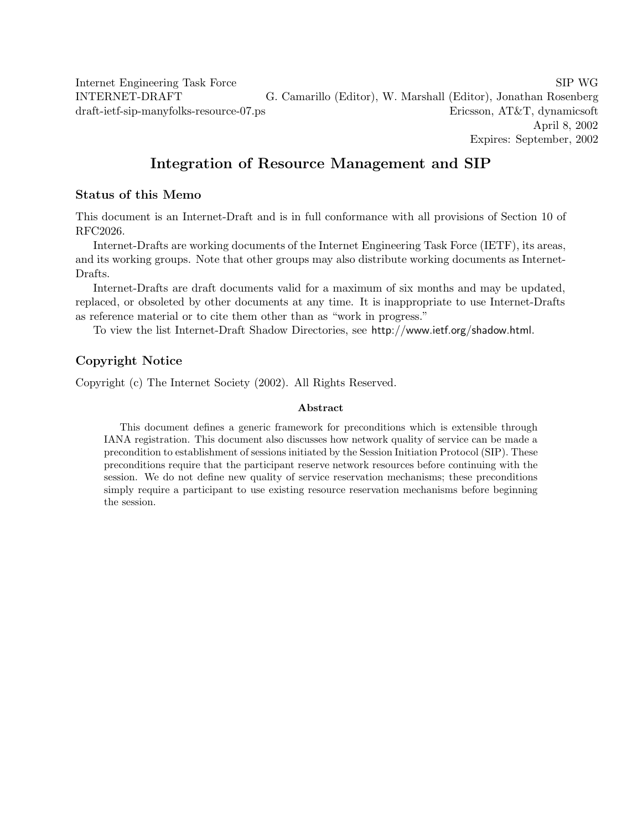Internet Engineering Task Force SIP WG INTERNET-DRAFT G. Camarillo (Editor), W. Marshall (Editor), Jonathan Rosenberg draft-ietf-sip-manyfolks-resource-07.ps Ericsson, AT&T, dynamicsoft April 8, 2002 Expires: September, 2002

# **Integration of Resource Management and SIP**

#### **Status of this Memo**

This document is an Internet-Draft and is in full conformance with all provisions of Section 10 of RFC2026.

Internet-Drafts are working documents of the Internet Engineering Task Force (IETF), its areas, and its working groups. Note that other groups may also distribute working documents as Internet-Drafts.

Internet-Drafts are draft documents valid for a maximum of six months and may be updated, replaced, or obsoleted by other documents at any time. It is inappropriate to use Internet-Drafts as reference material or to cite them other than as "work in progress."

To view the list Internet-Draft Shadow Directories, see http://www.ietf.org/shadow.html.

## **Copyright Notice**

Copyright (c) The Internet Society (2002). All Rights Reserved.

#### **Abstract**

This document defines a generic framework for preconditions which is extensible through IANA registration. This document also discusses how network quality of service can be made a precondition to establishment of sessions initiated by the Session Initiation Protocol (SIP). These preconditions require that the participant reserve network resources before continuing with the session. We do not define new quality of service reservation mechanisms; these preconditions simply require a participant to use existing resource reservation mechanisms before beginning the session.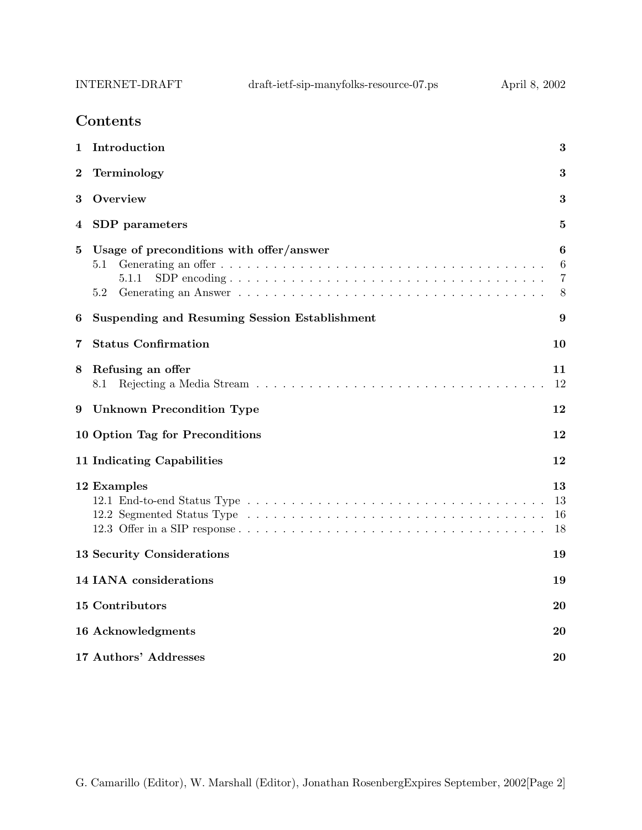|                  | <b>INTERNET-DRAFT</b><br>draft-ietf-sip-manyfolks-resource-07.ps | April 8, 2002        |  |  |  |  |  |
|------------------|------------------------------------------------------------------|----------------------|--|--|--|--|--|
|                  | Contents                                                         |                      |  |  |  |  |  |
| 1                | Introduction                                                     | 3                    |  |  |  |  |  |
| $\boldsymbol{2}$ | Terminology                                                      | 3                    |  |  |  |  |  |
| $\bf{3}$         | Overview<br>3                                                    |                      |  |  |  |  |  |
| 4                | SDP parameters<br>5                                              |                      |  |  |  |  |  |
| $\bf{5}$         | Usage of preconditions with offer/answer<br>5.1<br>5.1.1<br>5.2  | 6<br>6<br>7<br>8     |  |  |  |  |  |
| 6                | <b>Suspending and Resuming Session Establishment</b>             | 9                    |  |  |  |  |  |
| 7                | <b>Status Confirmation</b><br>10                                 |                      |  |  |  |  |  |
| 8                | Refusing an offer<br>8.1                                         | 11<br>12             |  |  |  |  |  |
| 9                | <b>Unknown Precondition Type</b>                                 | 12                   |  |  |  |  |  |
|                  | 10 Option Tag for Preconditions<br>12                            |                      |  |  |  |  |  |
|                  | 11 Indicating Capabilities                                       | 12                   |  |  |  |  |  |
|                  | 12 Examples                                                      | 13<br>13<br>16<br>18 |  |  |  |  |  |
|                  | <b>13 Security Considerations</b>                                | 19                   |  |  |  |  |  |
|                  | 14 IANA considerations                                           | 19                   |  |  |  |  |  |
|                  | 15 Contributors                                                  | 20                   |  |  |  |  |  |
|                  | 16 Acknowledgments<br>20                                         |                      |  |  |  |  |  |
|                  | 17 Authors' Addresses<br>20                                      |                      |  |  |  |  |  |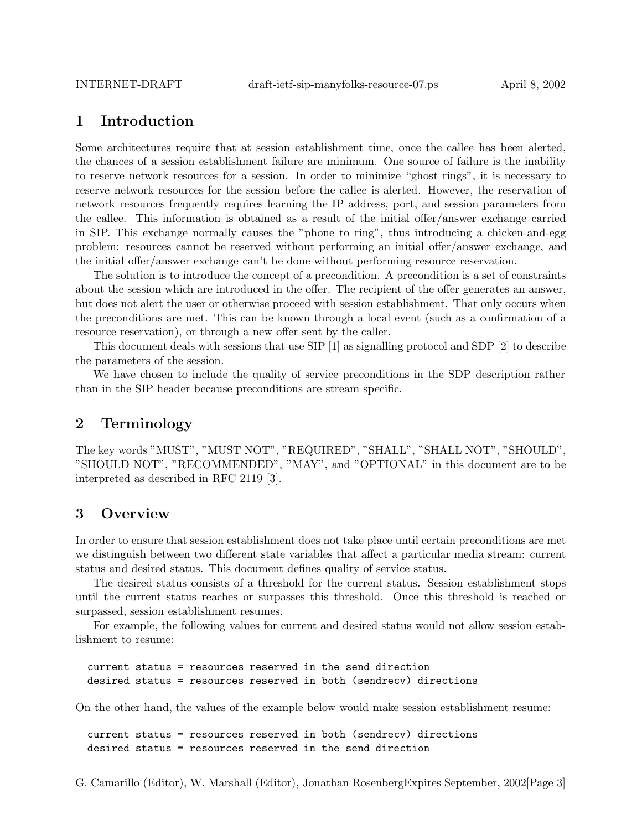# **1 Introduction**

Some architectures require that at session establishment time, once the callee has been alerted, the chances of a session establishment failure are minimum. One source of failure is the inability to reserve network resources for a session. In order to minimize "ghost rings", it is necessary to reserve network resources for the session before the callee is alerted. However, the reservation of network resources frequently requires learning the IP address, port, and session parameters from the callee. This information is obtained as a result of the initial offer/answer exchange carried in SIP. This exchange normally causes the "phone to ring", thus introducing a chicken-and-egg problem: resources cannot be reserved without performing an initial offer/answer exchange, and the initial offer/answer exchange can't be done without performing resource reservation.

The solution is to introduce the concept of a precondition. A precondition is a set of constraints about the session which are introduced in the offer. The recipient of the offer generates an answer, but does not alert the user or otherwise proceed with session establishment. That only occurs when the preconditions are met. This can be known through a local event (such as a confirmation of a resource reservation), or through a new offer sent by the caller.

This document deals with sessions that use SIP [1] as signalling protocol and SDP [2] to describe the parameters of the session.

We have chosen to include the quality of service preconditions in the SDP description rather than in the SIP header because preconditions are stream specific.

## **2 Terminology**

The key words "MUST", "MUST NOT", "REQUIRED", "SHALL", "SHALL NOT", "SHOULD", "SHOULD NOT", "RECOMMENDED", "MAY", and "OPTIONAL" in this document are to be interpreted as described in RFC 2119 [3].

## **3 Overview**

In order to ensure that session establishment does not take place until certain preconditions are met we distinguish between two different state variables that affect a particular media stream: current status and desired status. This document defines quality of service status.

The desired status consists of a threshold for the current status. Session establishment stops until the current status reaches or surpasses this threshold. Once this threshold is reached or surpassed, session establishment resumes.

For example, the following values for current and desired status would not allow session establishment to resume:

current status = resources reserved in the send direction desired status = resources reserved in both (sendrecv) directions

On the other hand, the values of the example below would make session establishment resume:

current status = resources reserved in both (sendrecv) directions desired status = resources reserved in the send direction

G. Camarillo (Editor), W. Marshall (Editor), Jonathan RosenbergExpires September, 2002[Page 3]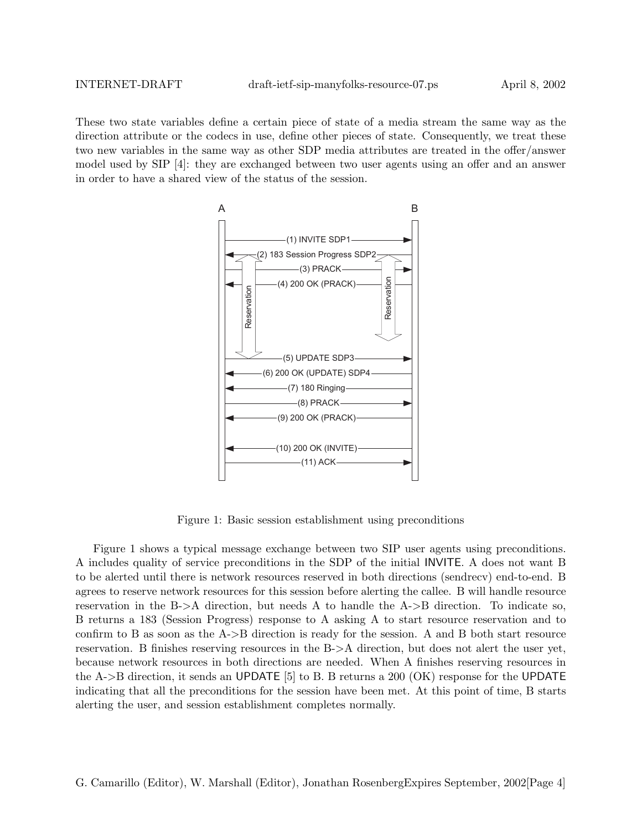These two state variables define a certain piece of state of a media stream the same way as the direction attribute or the codecs in use, define other pieces of state. Consequently, we treat these two new variables in the same way as other SDP media attributes are treated in the offer/answer model used by SIP [4]: they are exchanged between two user agents using an offer and an answer in order to have a shared view of the status of the session.



Figure 1: Basic session establishment using preconditions

Figure 1 shows a typical message exchange between two SIP user agents using preconditions. A includes quality of service preconditions in the SDP of the initial INVITE. A does not want B to be alerted until there is network resources reserved in both directions (sendrecv) end-to-end. B agrees to reserve network resources for this session before alerting the callee. B will handle resource reservation in the B->A direction, but needs A to handle the A->B direction. To indicate so, B returns a 183 (Session Progress) response to A asking A to start resource reservation and to confirm to B as soon as the A->B direction is ready for the session. A and B both start resource reservation. B finishes reserving resources in the B->A direction, but does not alert the user yet, because network resources in both directions are needed. When A finishes reserving resources in the A->B direction, it sends an UPDATE [5] to B. B returns a 200 (OK) response for the UPDATE indicating that all the preconditions for the session have been met. At this point of time, B starts alerting the user, and session establishment completes normally.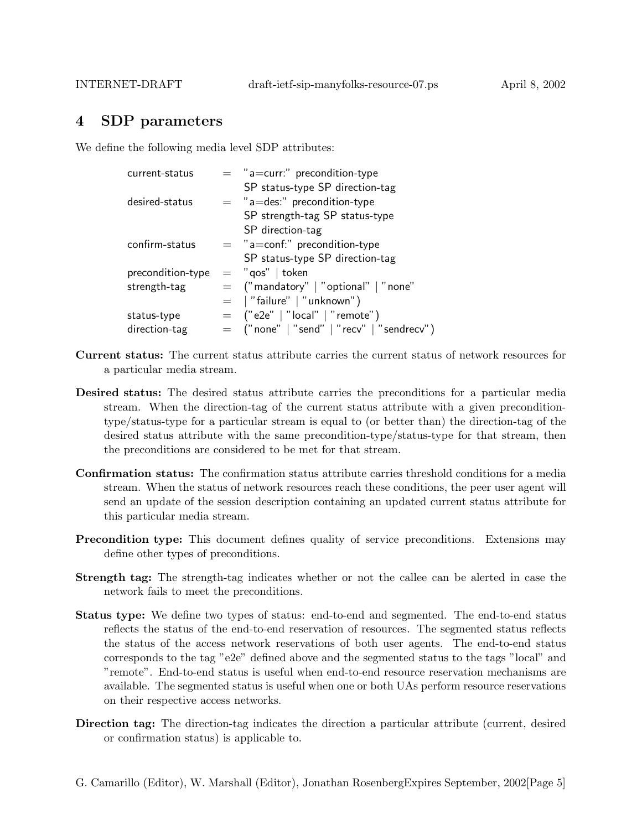# **4 SDP parameters**

We define the following media level SDP attributes:

| current-status    | $=$ "a=curr:" precondition-type           |
|-------------------|-------------------------------------------|
|                   | SP status-type SP direction-tag           |
| desired-status    | $=$ "a=des:" precondition-type            |
|                   | SP strength-tag SP status-type            |
|                   | SP direction-tag                          |
| confirm-status    | $=$ "a=conf:" precondition-type           |
|                   | SP status-type SP direction-tag           |
| precondition-type | $=$ "qos"   token                         |
| strength-tag      | $=$ ("mandatory"   "optional"   "none"    |
|                   | $=$   "failure"   "unknown")              |
| status-type       | $=$ ("e2e"   "local"   "remote")          |
| direction-tag     | = ("none"   "send"   "recv"   "sendrecv") |
|                   |                                           |

- **Current status:** The current status attribute carries the current status of network resources for a particular media stream.
- **Desired status:** The desired status attribute carries the preconditions for a particular media stream. When the direction-tag of the current status attribute with a given preconditiontype/status-type for a particular stream is equal to (or better than) the direction-tag of the desired status attribute with the same precondition-type/status-type for that stream, then the preconditions are considered to be met for that stream.
- **Confirmation status:** The confirmation status attribute carries threshold conditions for a media stream. When the status of network resources reach these conditions, the peer user agent will send an update of the session description containing an updated current status attribute for this particular media stream.
- **Precondition type:** This document defines quality of service preconditions. Extensions may define other types of preconditions.
- **Strength tag:** The strength-tag indicates whether or not the callee can be alerted in case the network fails to meet the preconditions.
- **Status type:** We define two types of status: end-to-end and segmented. The end-to-end status reflects the status of the end-to-end reservation of resources. The segmented status reflects the status of the access network reservations of both user agents. The end-to-end status corresponds to the tag "e2e" defined above and the segmented status to the tags "local" and "remote". End-to-end status is useful when end-to-end resource reservation mechanisms are available. The segmented status is useful when one or both UAs perform resource reservations on their respective access networks.
- **Direction tag:** The direction-tag indicates the direction a particular attribute (current, desired or confirmation status) is applicable to.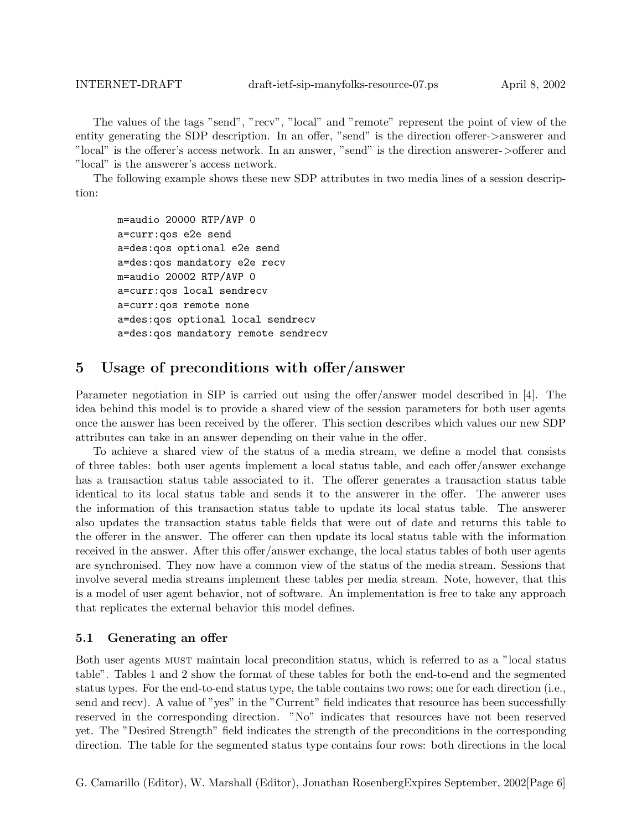The values of the tags "send", "recv", "local" and "remote" represent the point of view of the entity generating the SDP description. In an offer, "send" is the direction offerer->answerer and "local" is the offerer's access network. In an answer, "send" is the direction answerer->offerer and "local" is the answerer's access network.

The following example shows these new SDP attributes in two media lines of a session description:

m=audio 20000 RTP/AVP 0 a=curr:qos e2e send a=des:qos optional e2e send a=des:qos mandatory e2e recv m=audio 20002 RTP/AVP 0 a=curr:qos local sendrecv a=curr:qos remote none a=des:qos optional local sendrecv a=des:qos mandatory remote sendrecv

## **5 Usage of preconditions with offer/answer**

Parameter negotiation in SIP is carried out using the offer/answer model described in [4]. The idea behind this model is to provide a shared view of the session parameters for both user agents once the answer has been received by the offerer. This section describes which values our new SDP attributes can take in an answer depending on their value in the offer.

To achieve a shared view of the status of a media stream, we define a model that consists of three tables: both user agents implement a local status table, and each offer/answer exchange has a transaction status table associated to it. The offerer generates a transaction status table identical to its local status table and sends it to the answerer in the offer. The anwerer uses the information of this transaction status table to update its local status table. The answerer also updates the transaction status table fields that were out of date and returns this table to the offerer in the answer. The offerer can then update its local status table with the information received in the answer. After this offer/answer exchange, the local status tables of both user agents are synchronised. They now have a common view of the status of the media stream. Sessions that involve several media streams implement these tables per media stream. Note, however, that this is a model of user agent behavior, not of software. An implementation is free to take any approach that replicates the external behavior this model defines.

#### **5.1 Generating an offer**

Both user agents MUST maintain local precondition status, which is referred to as a "local status table". Tables 1 and 2 show the format of these tables for both the end-to-end and the segmented status types. For the end-to-end status type, the table contains two rows; one for each direction (i.e., send and recv). A value of "yes" in the "Current" field indicates that resource has been successfully reserved in the corresponding direction. "No" indicates that resources have not been reserved yet. The "Desired Strength" field indicates the strength of the preconditions in the corresponding direction. The table for the segmented status type contains four rows: both directions in the local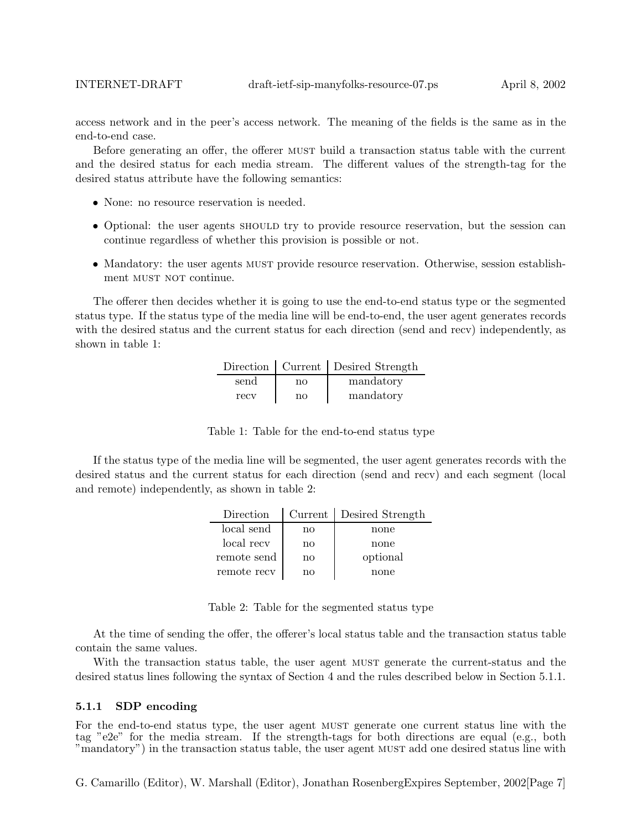access network and in the peer's access network. The meaning of the fields is the same as in the end-to-end case.

Before generating an offer, the offerer MUST build a transaction status table with the current and the desired status for each media stream. The different values of the strength-tag for the desired status attribute have the following semantics:

- None: no resource reservation is needed.
- Optional: the user agents SHOULD try to provide resource reservation, but the session can continue regardless of whether this provision is possible or not.
- Mandatory: the user agents MUST provide resource reservation. Otherwise, session establishment MUST NOT continue.

The offerer then decides whether it is going to use the end-to-end status type or the segmented status type. If the status type of the media line will be end-to-end, the user agent generates records with the desired status and the current status for each direction (send and recv) independently, as shown in table 1:

|      |    | Direction   Current   Desired Strength |
|------|----|----------------------------------------|
| send | no | mandatory                              |
| recy | no | mandatory                              |

|  |  |  |  |  | Table 1: Table for the end-to-end status type |  |  |
|--|--|--|--|--|-----------------------------------------------|--|--|
|--|--|--|--|--|-----------------------------------------------|--|--|

If the status type of the media line will be segmented, the user agent generates records with the desired status and the current status for each direction (send and recv) and each segment (local and remote) independently, as shown in table 2:

| Direction   | Current | Desired Strength |
|-------------|---------|------------------|
| local send  | no      | none             |
| local recy  | no      | none             |
| remote send | no      | optional         |
| remote recy | nο      | none             |

Table 2: Table for the segmented status type

At the time of sending the offer, the offerer's local status table and the transaction status table contain the same values.

With the transaction status table, the user agent MUST generate the current-status and the desired status lines following the syntax of Section 4 and the rules described below in Section 5.1.1.

#### **5.1.1 SDP encoding**

For the end-to-end status type, the user agent MUST generate one current status line with the tag "e2e" for the media stream. If the strength-tags for both directions are equal (e.g., both "mandatory") in the transaction status table, the user agent must add one desired status line with

G. Camarillo (Editor), W. Marshall (Editor), Jonathan RosenbergExpires September, 2002[Page 7]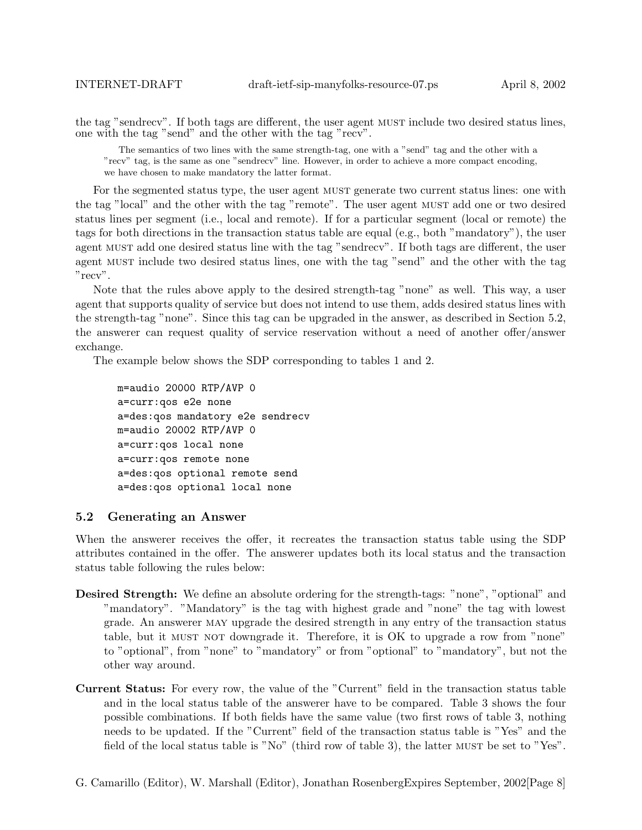the tag "sendrecv". If both tags are different, the user agent MUST include two desired status lines, one with the tag "send" and the other with the tag "recv".

The semantics of two lines with the same strength-tag, one with a "send" tag and the other with a "recv" tag, is the same as one "sendrecv" line. However, in order to achieve a more compact encoding, we have chosen to make mandatory the latter format.

For the segmented status type, the user agent must generate two current status lines: one with the tag "local" and the other with the tag "remote". The user agent MUST add one or two desired status lines per segment (i.e., local and remote). If for a particular segment (local or remote) the tags for both directions in the transaction status table are equal (e.g., both "mandatory"), the user agent must add one desired status line with the tag "sendrecv". If both tags are different, the user agent must include two desired status lines, one with the tag "send" and the other with the tag "recv".

Note that the rules above apply to the desired strength-tag "none" as well. This way, a user agent that supports quality of service but does not intend to use them, adds desired status lines with the strength-tag "none". Since this tag can be upgraded in the answer, as described in Section 5.2, the answerer can request quality of service reservation without a need of another offer/answer exchange.

The example below shows the SDP corresponding to tables 1 and 2.

```
m=audio 20000 RTP/AVP 0
a=curr:qos e2e none
a=des:qos mandatory e2e sendrecv
m=audio 20002 RTP/AVP 0
a=curr:qos local none
a=curr:qos remote none
a=des:qos optional remote send
a=des:qos optional local none
```
#### **5.2 Generating an Answer**

When the answerer receives the offer, it recreates the transaction status table using the SDP attributes contained in the offer. The answerer updates both its local status and the transaction status table following the rules below:

- **Desired Strength:** We define an absolute ordering for the strength-tags: "none", "optional" and "mandatory". "Mandatory" is the tag with highest grade and "none" the tag with lowest grade. An answerer may upgrade the desired strength in any entry of the transaction status table, but it must not downgrade it. Therefore, it is OK to upgrade a row from "none" to "optional", from "none" to "mandatory" or from "optional" to "mandatory", but not the other way around.
- **Current Status:** For every row, the value of the "Current" field in the transaction status table and in the local status table of the answerer have to be compared. Table 3 shows the four possible combinations. If both fields have the same value (two first rows of table 3, nothing needs to be updated. If the "Current" field of the transaction status table is "Yes" and the field of the local status table is "No" (third row of table 3), the latter MUST be set to "Yes".
- G. Camarillo (Editor), W. Marshall (Editor), Jonathan RosenbergExpires September, 2002[Page 8]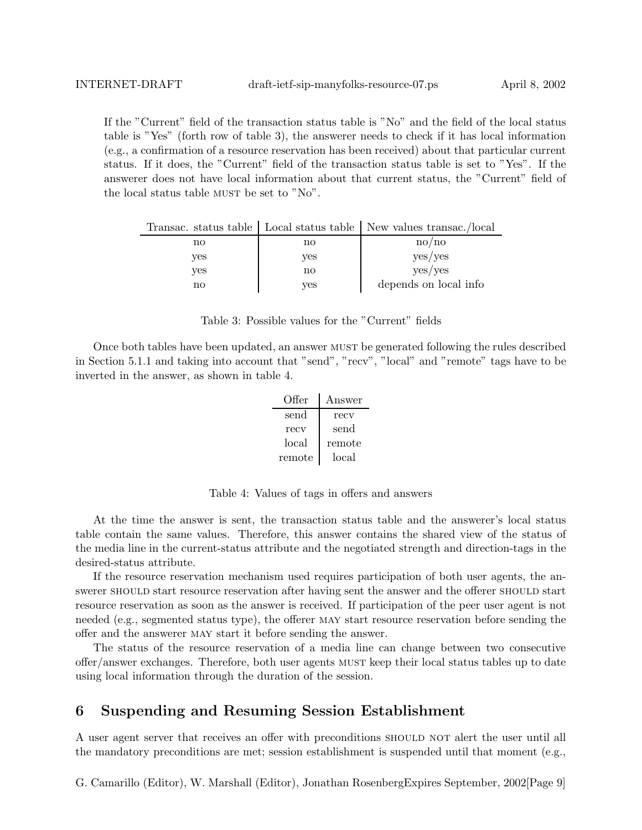If the "Current" field of the transaction status table is "No" and the field of the local status table is "Yes" (forth row of table 3), the answerer needs to check if it has local information (e.g., a confirmation of a resource reservation has been received) about that particular current status. If it does, the "Current" field of the transaction status table is set to "Yes". If the answerer does not have local information about that current status, the "Current" field of the local status table MUST be set to "No".

|     |     | Transac. status table   Local status table   New values transac./local |
|-----|-----|------------------------------------------------------------------------|
| no  | no  | no/no                                                                  |
| ves | yes | yes/yes                                                                |
| ves | no  | yes/yes                                                                |
| no  | yes | depends on local info                                                  |

| Table 3: Possible values for the "Current" fields |  |
|---------------------------------------------------|--|
|---------------------------------------------------|--|

Once both tables have been updated, an answer must be generated following the rules described in Section 5.1.1 and taking into account that "send", "recv", "local" and "remote" tags have to be inverted in the answer, as shown in table 4.

| Offer  | Answer |
|--------|--------|
| send   | recy   |
| recy   | send   |
| local  | remote |
| remote | local  |

Table 4: Values of tags in offers and answers

At the time the answer is sent, the transaction status table and the answerer's local status table contain the same values. Therefore, this answer contains the shared view of the status of the media line in the current-status attribute and the negotiated strength and direction-tags in the desired-status attribute.

If the resource reservation mechanism used requires participation of both user agents, the answerer should start resource reservation after having sent the answer and the offerer should start resource reservation as soon as the answer is received. If participation of the peer user agent is not needed (e.g., segmented status type), the offerer may start resource reservation before sending the offer and the answerer may start it before sending the answer.

The status of the resource reservation of a media line can change between two consecutive offer/answer exchanges. Therefore, both user agents must keep their local status tables up to date using local information through the duration of the session.

## **6 Suspending and Resuming Session Establishment**

A user agent server that receives an offer with preconditions should not allert the user until all the mandatory preconditions are met; session establishment is suspended until that moment (e.g.,

G. Camarillo (Editor), W. Marshall (Editor), Jonathan RosenbergExpires September, 2002[Page 9]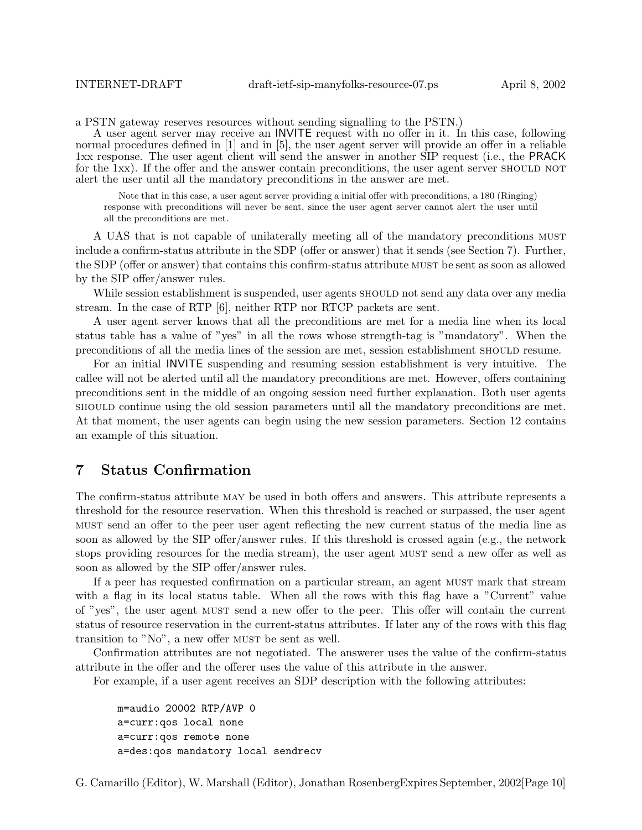a PSTN gateway reserves resources without sending signalling to the PSTN.)

A user agent server may receive an INVITE request with no offer in it. In this case, following normal procedures defined in [1] and in [5], the user agent server will provide an offer in a reliable 1xx response. The user agent client will send the answer in another SIP request (i.e., the PRACK for the 1xx). If the offer and the answer contain preconditions, the user agent server SHOULD NOT alert the user until all the mandatory preconditions in the answer are met.

Note that in this case, a user agent server providing a initial offer with preconditions, a 180 (Ringing) response with preconditions will never be sent, since the user agent server cannot alert the user until all the preconditions are met.

A UAS that is not capable of unilaterally meeting all of the mandatory preconditions must include a confirm-status attribute in the SDP (offer or answer) that it sends (see Section 7). Further, the SDP (offer or answer) that contains this confirm-status attribute must be sent as soon as allowed by the SIP offer/answer rules.

While session establishment is suspended, user agents SHOULD not send any data over any media stream. In the case of RTP [6], neither RTP nor RTCP packets are sent.

A user agent server knows that all the preconditions are met for a media line when its local status table has a value of "yes" in all the rows whose strength-tag is "mandatory". When the preconditions of all the media lines of the session are met, session establishment should resume.

For an initial INVITE suspending and resuming session establishment is very intuitive. The callee will not be alerted until all the mandatory preconditions are met. However, offers containing preconditions sent in the middle of an ongoing session need further explanation. Both user agents should continue using the old session parameters until all the mandatory preconditions are met. At that moment, the user agents can begin using the new session parameters. Section 12 contains an example of this situation.

## **7 Status Confirmation**

The confirm-status attribute may be used in both offers and answers. This attribute represents a threshold for the resource reservation. When this threshold is reached or surpassed, the user agent must send an offer to the peer user agent reflecting the new current status of the media line as soon as allowed by the SIP offer/answer rules. If this threshold is crossed again (e.g., the network stops providing resources for the media stream), the user agent MUST send a new offer as well as soon as allowed by the SIP offer/answer rules.

If a peer has requested confirmation on a particular stream, an agent must mark that stream with a flag in its local status table. When all the rows with this flag have a "Current" value of "yes", the user agent must send a new offer to the peer. This offer will contain the current status of resource reservation in the current-status attributes. If later any of the rows with this flag transition to "No", a new offer MUST be sent as well.

Confirmation attributes are not negotiated. The answerer uses the value of the confirm-status attribute in the offer and the offerer uses the value of this attribute in the answer.

For example, if a user agent receives an SDP description with the following attributes:

m=audio 20002 RTP/AVP 0 a=curr:qos local none a=curr:qos remote none a=des:qos mandatory local sendrecv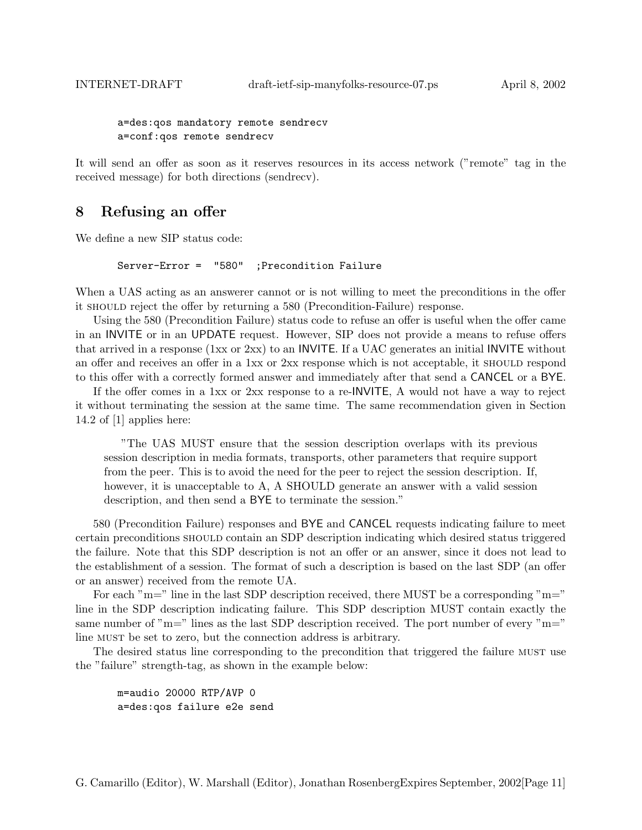a=des:qos mandatory remote sendrecv a=conf:qos remote sendrecv

It will send an offer as soon as it reserves resources in its access network ("remote" tag in the received message) for both directions (sendrecv).

## **8 Refusing an offer**

We define a new SIP status code:

```
Server-Error = "580" ;Precondition Failure
```
When a UAS acting as an answerer cannot or is not willing to meet the preconditions in the offer it should reject the offer by returning a 580 (Precondition-Failure) response.

Using the 580 (Precondition Failure) status code to refuse an offer is useful when the offer came in an INVITE or in an UPDATE request. However, SIP does not provide a means to refuse offers that arrived in a response (1xx or 2xx) to an INVITE. If a UAC generates an initial INVITE without an offer and receives an offer in a 1xx or 2xx response which is not acceptable, it should respond to this offer with a correctly formed answer and immediately after that send a CANCEL or a BYE.

If the offer comes in a 1xx or 2xx response to a re-INVITE, A would not have a way to reject it without terminating the session at the same time. The same recommendation given in Section 14.2 of [1] applies here:

"The UAS MUST ensure that the session description overlaps with its previous session description in media formats, transports, other parameters that require support from the peer. This is to avoid the need for the peer to reject the session description. If, however, it is unacceptable to A, A SHOULD generate an answer with a valid session description, and then send a BYE to terminate the session."

580 (Precondition Failure) responses and BYE and CANCEL requests indicating failure to meet certain preconditions should contain an SDP description indicating which desired status triggered the failure. Note that this SDP description is not an offer or an answer, since it does not lead to the establishment of a session. The format of such a description is based on the last SDP (an offer or an answer) received from the remote UA.

For each "m=" line in the last SDP description received, there MUST be a corresponding "m=" line in the SDP description indicating failure. This SDP description MUST contain exactly the same number of "m=" lines as the last SDP description received. The port number of every "m=" line must be set to zero, but the connection address is arbitrary.

The desired status line corresponding to the precondition that triggered the failure MUST use the "failure" strength-tag, as shown in the example below:

m=audio 20000 RTP/AVP 0 a=des:qos failure e2e send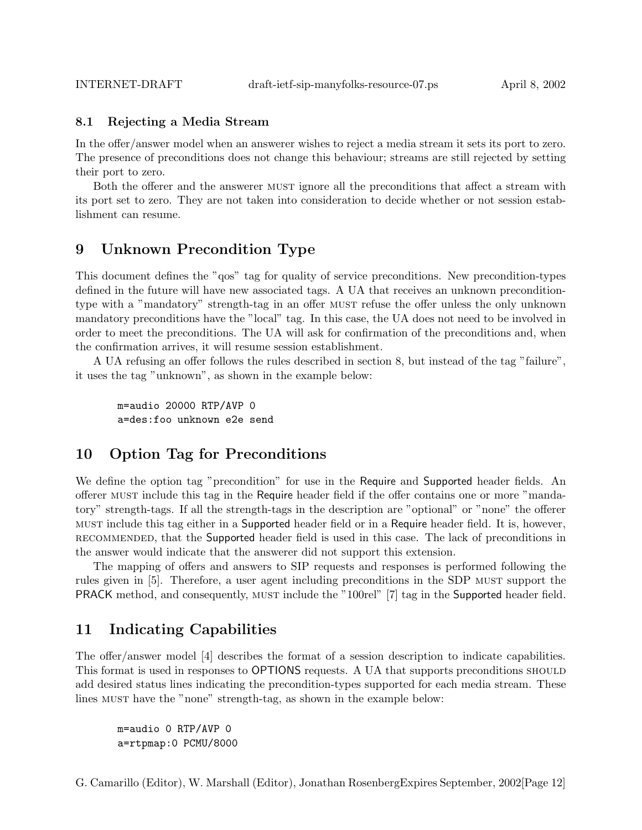#### **8.1 Rejecting a Media Stream**

In the offer/answer model when an answerer wishes to reject a media stream it sets its port to zero. The presence of preconditions does not change this behaviour; streams are still rejected by setting their port to zero.

Both the offerer and the answerer must ignore all the preconditions that affect a stream with its port set to zero. They are not taken into consideration to decide whether or not session establishment can resume.

## **9 Unknown Precondition Type**

This document defines the "qos" tag for quality of service preconditions. New precondition-types defined in the future will have new associated tags. A UA that receives an unknown preconditiontype with a "mandatory" strength-tag in an offer must refuse the offer unless the only unknown mandatory preconditions have the "local" tag. In this case, the UA does not need to be involved in order to meet the preconditions. The UA will ask for confirmation of the preconditions and, when the confirmation arrives, it will resume session establishment.

A UA refusing an offer follows the rules described in section 8, but instead of the tag "failure", it uses the tag "unknown", as shown in the example below:

m=audio 20000 RTP/AVP 0 a=des:foo unknown e2e send

## **10 Option Tag for Preconditions**

We define the option tag "precondition" for use in the Require and Supported header fields. An offerer must include this tag in the Require header field if the offer contains one or more "mandatory" strength-tags. If all the strength-tags in the description are "optional" or "none" the offerer must include this tag either in a Supported header field or in a Require header field. It is, however, recommended, that the Supported header field is used in this case. The lack of preconditions in the answer would indicate that the answerer did not support this extension.

The mapping of offers and answers to SIP requests and responses is performed following the rules given in [5]. Therefore, a user agent including preconditions in the SDP MUST support the PRACK method, and consequently, must include the "100rel" [7] tag in the Supported header field.

## **11 Indicating Capabilities**

The offer/answer model [4] describes the format of a session description to indicate capabilities. This format is used in responses to OPTIONS requests. A UA that supports preconditions SHOULD add desired status lines indicating the precondition-types supported for each media stream. These lines must have the "none" strength-tag, as shown in the example below:

m=audio 0 RTP/AVP 0 a=rtpmap:0 PCMU/8000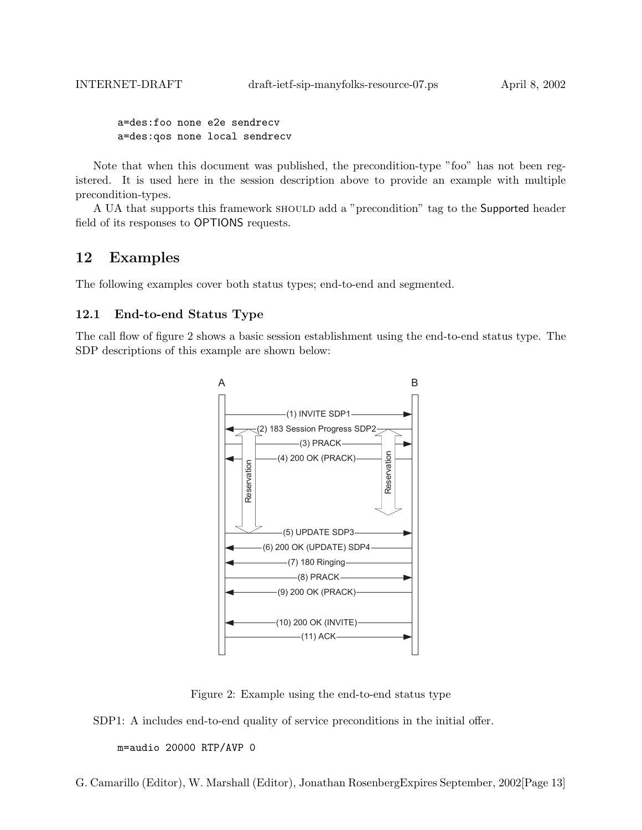a=des:foo none e2e sendrecv a=des:qos none local sendrecv

Note that when this document was published, the precondition-type "foo" has not been registered. It is used here in the session description above to provide an example with multiple precondition-types.

A UA that supports this framework SHOULD add a "precondition" tag to the Supported header field of its responses to OPTIONS requests.

## **12 Examples**

The following examples cover both status types; end-to-end and segmented.

#### **12.1 End-to-end Status Type**

The call flow of figure 2 shows a basic session establishment using the end-to-end status type. The SDP descriptions of this example are shown below:



Figure 2: Example using the end-to-end status type

SDP1: A includes end-to-end quality of service preconditions in the initial offer.

m=audio 20000 RTP/AVP 0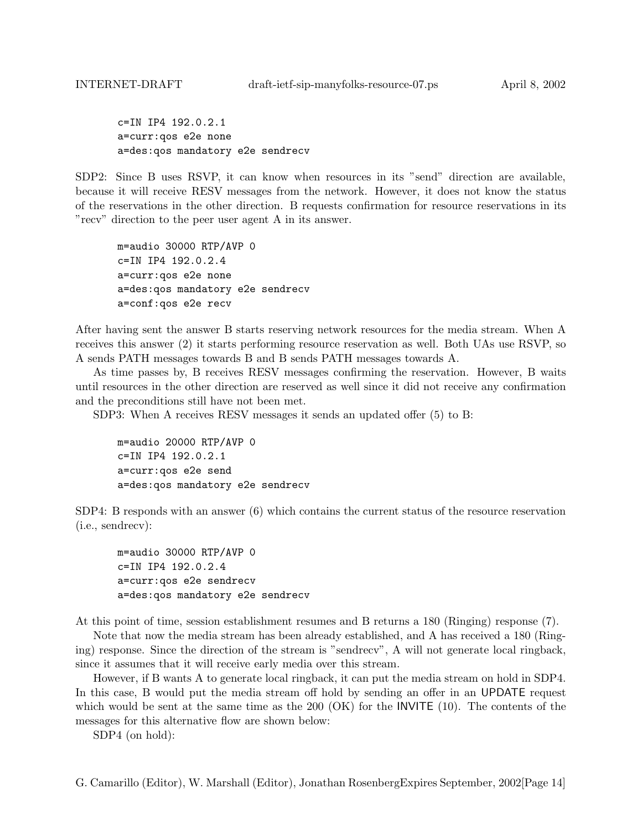c=IN IP4 192.0.2.1 a=curr:qos e2e none a=des:qos mandatory e2e sendrecv

SDP2: Since B uses RSVP, it can know when resources in its "send" direction are available, because it will receive RESV messages from the network. However, it does not know the status of the reservations in the other direction. B requests confirmation for resource reservations in its "recv" direction to the peer user agent A in its answer.

m=audio 30000 RTP/AVP 0 c=IN IP4 192.0.2.4 a=curr:qos e2e none a=des:qos mandatory e2e sendrecv a=conf:qos e2e recv

After having sent the answer B starts reserving network resources for the media stream. When A receives this answer (2) it starts performing resource reservation as well. Both UAs use RSVP, so A sends PATH messages towards B and B sends PATH messages towards A.

As time passes by, B receives RESV messages confirming the reservation. However, B waits until resources in the other direction are reserved as well since it did not receive any confirmation and the preconditions still have not been met.

SDP3: When A receives RESV messages it sends an updated offer (5) to B:

m=audio 20000 RTP/AVP 0 c=IN IP4 192.0.2.1 a=curr:qos e2e send a=des:qos mandatory e2e sendrecv

SDP4: B responds with an answer (6) which contains the current status of the resource reservation (i.e., sendrecv):

m=audio 30000 RTP/AVP 0 c=IN IP4 192.0.2.4 a=curr:qos e2e sendrecv a=des:qos mandatory e2e sendrecv

At this point of time, session establishment resumes and B returns a 180 (Ringing) response (7).

Note that now the media stream has been already established, and A has received a 180 (Ringing) response. Since the direction of the stream is "sendrecv", A will not generate local ringback, since it assumes that it will receive early media over this stream.

However, if B wants A to generate local ringback, it can put the media stream on hold in SDP4. In this case, B would put the media stream off hold by sending an offer in an UPDATE request which would be sent at the same time as the 200 (OK) for the **INVITE** (10). The contents of the messages for this alternative flow are shown below:

SDP4 (on hold):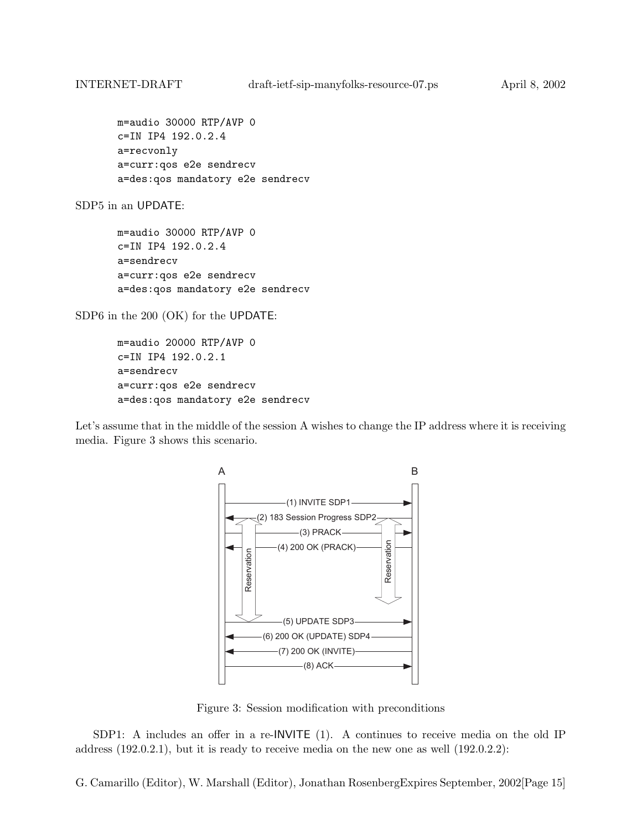```
m=audio 30000 RTP/AVP 0
c=IN IP4 192.0.2.4
a=recvonly
a=curr:qos e2e sendrecv
a=des:qos mandatory e2e sendrecv
```
SDP5 in an UPDATE:

m=audio 30000 RTP/AVP 0 c=IN IP4 192.0.2.4 a=sendrecv a=curr:qos e2e sendrecv a=des:qos mandatory e2e sendrecv

SDP6 in the 200 (OK) for the UPDATE:

m=audio 20000 RTP/AVP 0 c=IN IP4 192.0.2.1 a=sendrecv a=curr:qos e2e sendrecv a=des:qos mandatory e2e sendrecv

Let's assume that in the middle of the session A wishes to change the IP address where it is receiving media. Figure 3 shows this scenario.



Figure 3: Session modification with preconditions

SDP1: A includes an offer in a re-INVITE (1). A continues to receive media on the old IP address (192.0.2.1), but it is ready to receive media on the new one as well (192.0.2.2):

G. Camarillo (Editor), W. Marshall (Editor), Jonathan RosenbergExpires September, 2002[Page 15]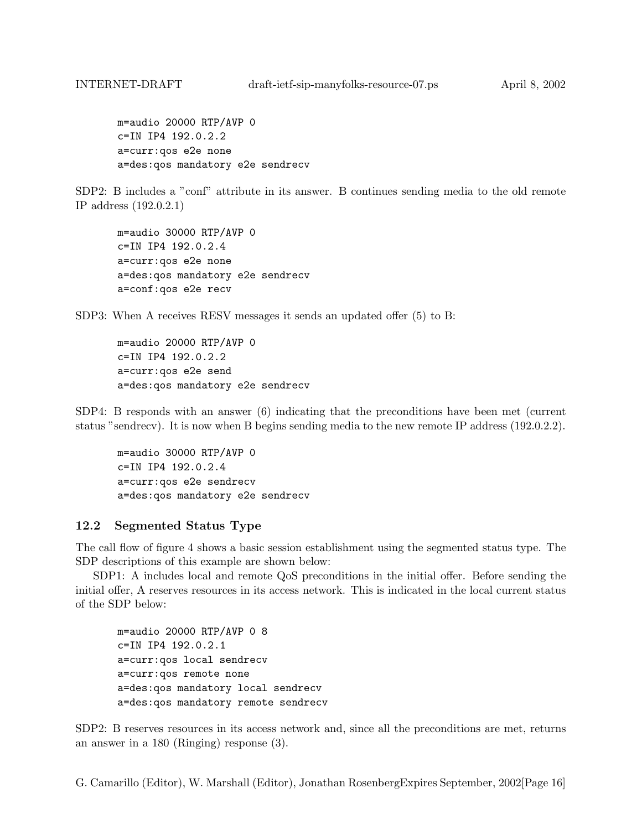m=audio 20000 RTP/AVP 0 c=IN IP4 192.0.2.2 a=curr:qos e2e none a=des:qos mandatory e2e sendrecv

SDP2: B includes a "conf" attribute in its answer. B continues sending media to the old remote IP address (192.0.2.1)

m=audio 30000 RTP/AVP 0 c=IN IP4 192.0.2.4 a=curr:qos e2e none a=des:qos mandatory e2e sendrecv a=conf:qos e2e recv

SDP3: When A receives RESV messages it sends an updated offer (5) to B:

m=audio 20000 RTP/AVP 0 c=IN IP4 192.0.2.2 a=curr:qos e2e send a=des:qos mandatory e2e sendrecv

SDP4: B responds with an answer (6) indicating that the preconditions have been met (current status "sendrecv). It is now when B begins sending media to the new remote IP address (192.0.2.2).

m=audio 30000 RTP/AVP 0 c=IN IP4 192.0.2.4 a=curr:qos e2e sendrecv a=des:qos mandatory e2e sendrecv

#### **12.2 Segmented Status Type**

The call flow of figure 4 shows a basic session establishment using the segmented status type. The SDP descriptions of this example are shown below:

SDP1: A includes local and remote QoS preconditions in the initial offer. Before sending the initial offer, A reserves resources in its access network. This is indicated in the local current status of the SDP below:

m=audio 20000 RTP/AVP 0 8 c=IN IP4 192.0.2.1 a=curr:qos local sendrecv a=curr:qos remote none a=des:qos mandatory local sendrecv a=des:qos mandatory remote sendrecv

SDP2: B reserves resources in its access network and, since all the preconditions are met, returns an answer in a 180 (Ringing) response (3).

G. Camarillo (Editor), W. Marshall (Editor), Jonathan RosenbergExpires September, 2002[Page 16]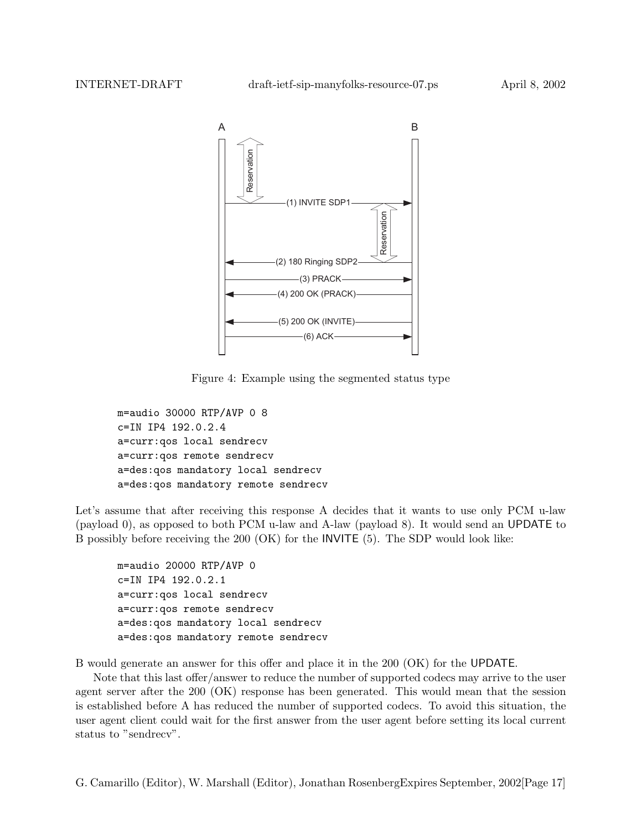

Figure 4: Example using the segmented status type

```
m=audio 30000 RTP/AVP 0 8
c=IN IP4 192.0.2.4
a=curr:qos local sendrecv
a=curr:qos remote sendrecv
a=des:qos mandatory local sendrecv
a=des:qos mandatory remote sendrecv
```
Let's assume that after receiving this response A decides that it wants to use only PCM u-law (payload 0), as opposed to both PCM u-law and A-law (payload 8). It would send an UPDATE to B possibly before receiving the 200 (OK) for the INVITE (5). The SDP would look like:

m=audio 20000 RTP/AVP 0 c=IN IP4 192.0.2.1 a=curr:qos local sendrecv a=curr:qos remote sendrecv a=des:qos mandatory local sendrecv a=des:qos mandatory remote sendrecv

B would generate an answer for this offer and place it in the 200 (OK) for the UPDATE.

Note that this last offer/answer to reduce the number of supported codecs may arrive to the user agent server after the 200 (OK) response has been generated. This would mean that the session is established before A has reduced the number of supported codecs. To avoid this situation, the user agent client could wait for the first answer from the user agent before setting its local current status to "sendrecv".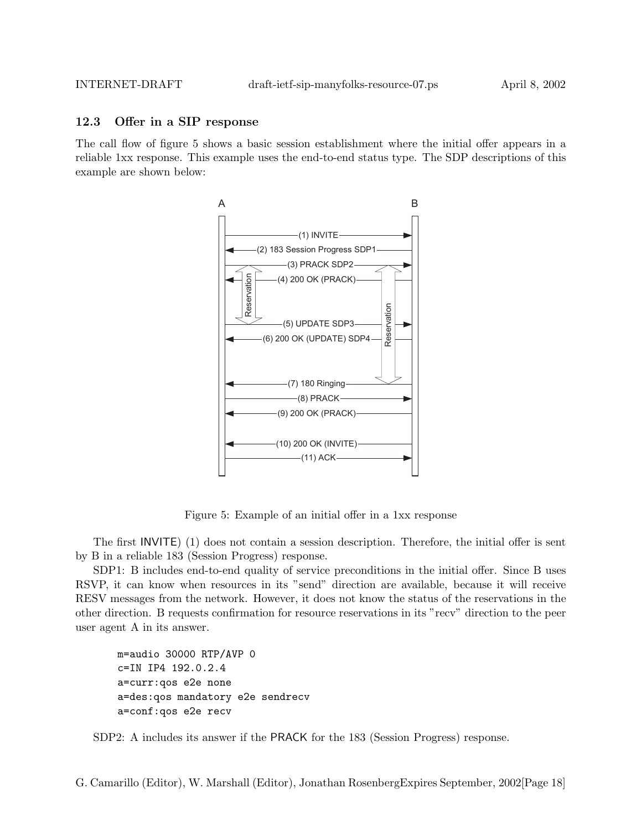#### **12.3 Offer in a SIP response**

The call flow of figure 5 shows a basic session establishment where the initial offer appears in a reliable 1xx response. This example uses the end-to-end status type. The SDP descriptions of this example are shown below:



Figure 5: Example of an initial offer in a 1xx response

The first INVITE) (1) does not contain a session description. Therefore, the initial offer is sent by B in a reliable 183 (Session Progress) response.

SDP1: B includes end-to-end quality of service preconditions in the initial offer. Since B uses RSVP, it can know when resources in its "send" direction are available, because it will receive RESV messages from the network. However, it does not know the status of the reservations in the other direction. B requests confirmation for resource reservations in its "recv" direction to the peer user agent A in its answer.

m=audio 30000 RTP/AVP 0 c=IN IP4 192.0.2.4 a=curr:qos e2e none a=des:qos mandatory e2e sendrecv a=conf:qos e2e recv

SDP2: A includes its answer if the PRACK for the 183 (Session Progress) response.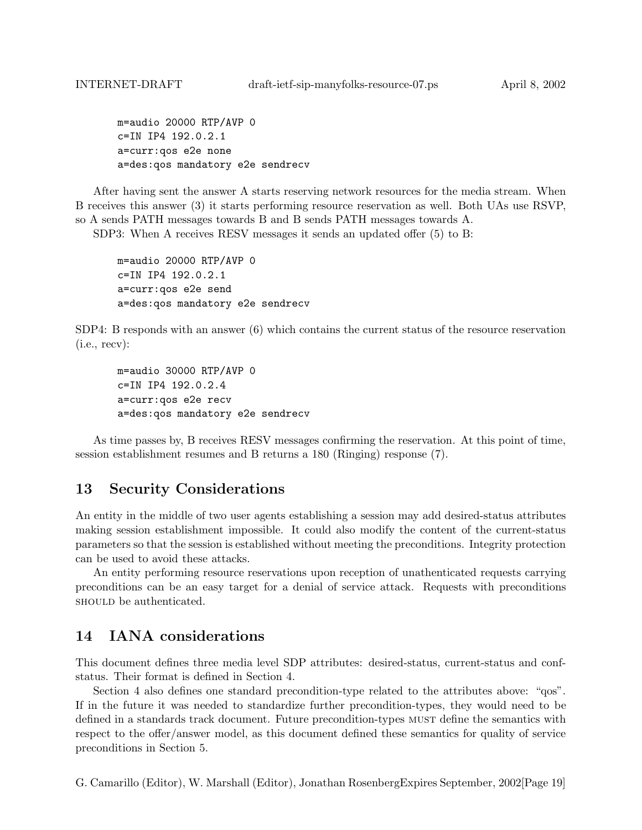```
m=audio 20000 RTP/AVP 0
c=IN IP4 192.0.2.1
a=curr:qos e2e none
a=des:qos mandatory e2e sendrecv
```
After having sent the answer A starts reserving network resources for the media stream. When B receives this answer (3) it starts performing resource reservation as well. Both UAs use RSVP, so A sends PATH messages towards B and B sends PATH messages towards A.

SDP3: When A receives RESV messages it sends an updated offer (5) to B:

m=audio 20000 RTP/AVP 0 c=IN IP4 192.0.2.1 a=curr:qos e2e send a=des:qos mandatory e2e sendrecv

SDP4: B responds with an answer (6) which contains the current status of the resource reservation  $(i.e.,$  recv $):$ 

m=audio 30000 RTP/AVP 0 c=IN IP4 192.0.2.4 a=curr:qos e2e recv a=des:qos mandatory e2e sendrecv

As time passes by, B receives RESV messages confirming the reservation. At this point of time, session establishment resumes and B returns a 180 (Ringing) response (7).

## **13 Security Considerations**

An entity in the middle of two user agents establishing a session may add desired-status attributes making session establishment impossible. It could also modify the content of the current-status parameters so that the session is established without meeting the preconditions. Integrity protection can be used to avoid these attacks.

An entity performing resource reservations upon reception of unathenticated requests carrying preconditions can be an easy target for a denial of service attack. Requests with preconditions should be authenticated.

# **14 IANA considerations**

This document defines three media level SDP attributes: desired-status, current-status and confstatus. Their format is defined in Section 4.

Section 4 also defines one standard precondition-type related to the attributes above: "qos". If in the future it was needed to standardize further precondition-types, they would need to be defined in a standards track document. Future precondition-types MUST define the semantics with respect to the offer/answer model, as this document defined these semantics for quality of service preconditions in Section 5.

G. Camarillo (Editor), W. Marshall (Editor), Jonathan RosenbergExpires September, 2002[Page 19]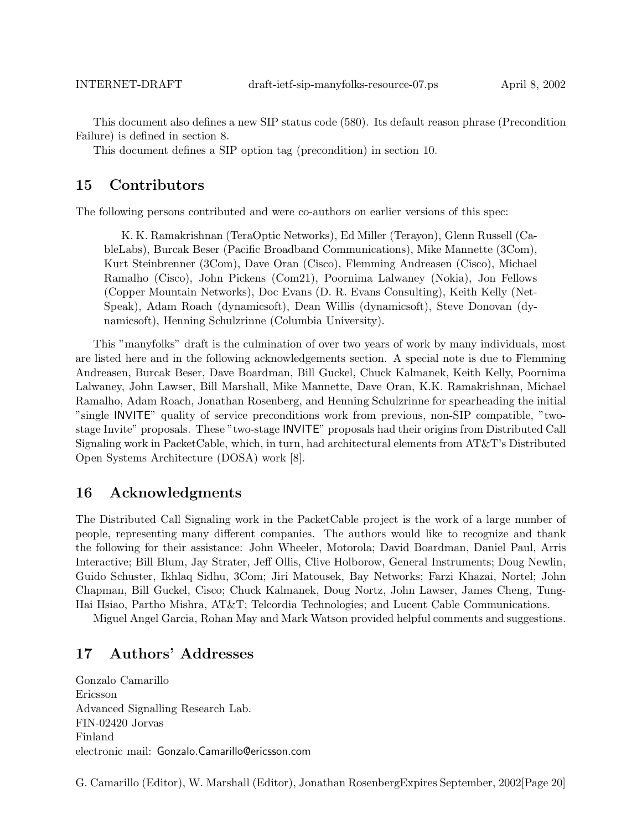This document also defines a new SIP status code (580). Its default reason phrase (Precondition Failure) is defined in section 8.

This document defines a SIP option tag (precondition) in section 10.

#### **15 Contributors**

The following persons contributed and were co-authors on earlier versions of this spec:

K. K. Ramakrishnan (TeraOptic Networks), Ed Miller (Terayon), Glenn Russell (CableLabs), Burcak Beser (Pacific Broadband Communications), Mike Mannette (3Com), Kurt Steinbrenner (3Com), Dave Oran (Cisco), Flemming Andreasen (Cisco), Michael Ramalho (Cisco), John Pickens (Com21), Poornima Lalwaney (Nokia), Jon Fellows (Copper Mountain Networks), Doc Evans (D. R. Evans Consulting), Keith Kelly (Net-Speak), Adam Roach (dynamicsoft), Dean Willis (dynamicsoft), Steve Donovan (dynamicsoft), Henning Schulzrinne (Columbia University).

This "manyfolks" draft is the culmination of over two years of work by many individuals, most are listed here and in the following acknowledgements section. A special note is due to Flemming Andreasen, Burcak Beser, Dave Boardman, Bill Guckel, Chuck Kalmanek, Keith Kelly, Poornima Lalwaney, John Lawser, Bill Marshall, Mike Mannette, Dave Oran, K.K. Ramakrishnan, Michael Ramalho, Adam Roach, Jonathan Rosenberg, and Henning Schulzrinne for spearheading the initial "single INVITE" quality of service preconditions work from previous, non-SIP compatible, "twostage Invite" proposals. These "two-stage INVITE" proposals had their origins from Distributed Call Signaling work in PacketCable, which, in turn, had architectural elements from AT&T's Distributed Open Systems Architecture (DOSA) work [8].

## **16 Acknowledgments**

The Distributed Call Signaling work in the PacketCable project is the work of a large number of people, representing many different companies. The authors would like to recognize and thank the following for their assistance: John Wheeler, Motorola; David Boardman, Daniel Paul, Arris Interactive; Bill Blum, Jay Strater, Jeff Ollis, Clive Holborow, General Instruments; Doug Newlin, Guido Schuster, Ikhlaq Sidhu, 3Com; Jiri Matousek, Bay Networks; Farzi Khazai, Nortel; John Chapman, Bill Guckel, Cisco; Chuck Kalmanek, Doug Nortz, John Lawser, James Cheng, Tung-Hai Hsiao, Partho Mishra, AT&T; Telcordia Technologies; and Lucent Cable Communications.

Miguel Angel Garcia, Rohan May and Mark Watson provided helpful comments and suggestions.

## **17 Authors' Addresses**

Gonzalo Camarillo Ericsson Advanced Signalling Research Lab. FIN-02420 Jorvas Finland electronic mail: Gonzalo.Camarillo@ericsson.com

G. Camarillo (Editor), W. Marshall (Editor), Jonathan RosenbergExpires September, 2002[Page 20]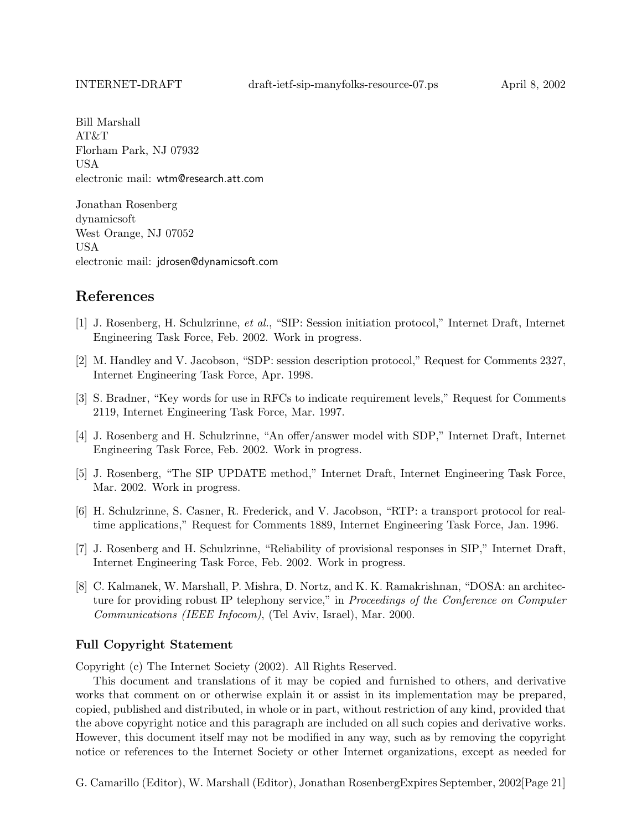Bill Marshall AT&T Florham Park, NJ 07932 USA electronic mail: wtm@research.att.com

Jonathan Rosenberg dynamicsoft West Orange, NJ 07052 USA electronic mail: jdrosen@dynamicsoft.com

# **References**

- [1] J. Rosenberg, H. Schulzrinne, *et al.*, "SIP: Session initiation protocol," Internet Draft, Internet Engineering Task Force, Feb. 2002. Work in progress.
- [2] M. Handley and V. Jacobson, "SDP: session description protocol," Request for Comments 2327, Internet Engineering Task Force, Apr. 1998.
- [3] S. Bradner, "Key words for use in RFCs to indicate requirement levels," Request for Comments 2119, Internet Engineering Task Force, Mar. 1997.
- [4] J. Rosenberg and H. Schulzrinne, "An offer/answer model with SDP," Internet Draft, Internet Engineering Task Force, Feb. 2002. Work in progress.
- [5] J. Rosenberg, "The SIP UPDATE method," Internet Draft, Internet Engineering Task Force, Mar. 2002. Work in progress.
- [6] H. Schulzrinne, S. Casner, R. Frederick, and V. Jacobson, "RTP: a transport protocol for realtime applications," Request for Comments 1889, Internet Engineering Task Force, Jan. 1996.
- [7] J. Rosenberg and H. Schulzrinne, "Reliability of provisional responses in SIP," Internet Draft, Internet Engineering Task Force, Feb. 2002. Work in progress.
- [8] C. Kalmanek, W. Marshall, P. Mishra, D. Nortz, and K. K. Ramakrishnan, "DOSA: an architecture for providing robust IP telephony service," in *Proceedings of the Conference on Computer Communications (IEEE Infocom)*, (Tel Aviv, Israel), Mar. 2000.

#### **Full Copyright Statement**

Copyright (c) The Internet Society (2002). All Rights Reserved.

This document and translations of it may be copied and furnished to others, and derivative works that comment on or otherwise explain it or assist in its implementation may be prepared, copied, published and distributed, in whole or in part, without restriction of any kind, provided that the above copyright notice and this paragraph are included on all such copies and derivative works. However, this document itself may not be modified in any way, such as by removing the copyright notice or references to the Internet Society or other Internet organizations, except as needed for